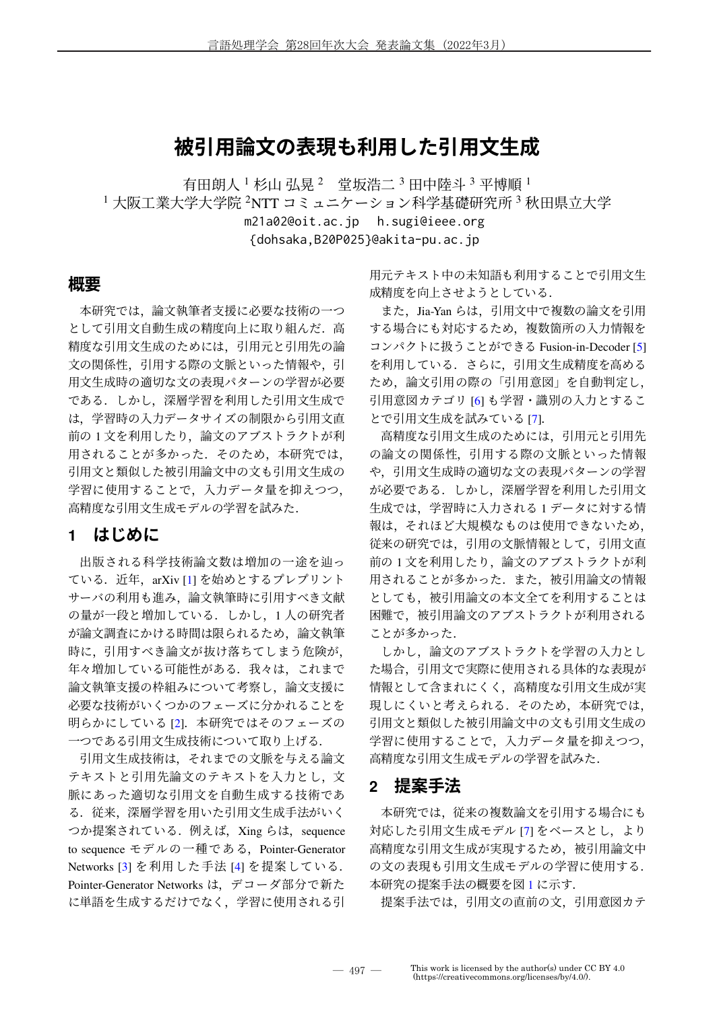# **被引用論文の表現も利用した引用文生成**

有田朗人 1 杉山 弘晃 2 堂坂浩二 3 田中陸斗 3 平博順 1 <sup>1</sup> 大阪工業大学大学院 <sup>2</sup>NTT コミュニケーション科学基礎研究所 <sup>3</sup> 秋田県立大学 m21a02@oit.ac.jp h.sugi@ieee.org

{dohsaka,B20P025}@akita-pu.ac.jp

### **概要**

本研究では、論文執筆者支援に必要な技術の一つ として引用文自動生成の精度向上に取り組んだ.高 精度な引用文生成のためには,引用元と引用先の論 文の関係性,引用する際の文脈といった情報や,引 用文生成時の適切な文の表現パターンの学習が必要 である.しかし,深層学習を利用した引用文生成で は,学習時の入力データサイズの制限から引用文直 前の1文を利用したり、論文のアブストラクトが利 用されることが多かった. そのため,本研究では, 引用文と類似した被引用論文中の文も引用文生成の 学習に使用することで,入力データ量を抑えつつ, 高精度な引用文生成モデルの学習を試みた.

### **1 はじめに**

出版される科学技術論文数は増加の一途を辿っ ている. 近年, arXiv [1] を始めとするプレプリント サーバの利用も進み,論文執筆時に引用すべき文献 の量が一段と増加している. しかし、1人の研究者 が論文調査にかける時間は限られるため,論文執筆 時に,引用すべき論文が抜け落ちてしまう危険が, 年々増加している可能性がある. 我々は、これまで 論文執筆支援の枠組みについて考察し,論文支援に 必要な技術がいくつかのフェーズに分かれることを 明らかにしている [2].本研究ではそのフェーズの 一つである引用文生成技術について取り上げる.

引用文生成技術は,それまでの文脈を与える論文 テキストと引用先論文のテキストを入力とし,文 脈にあった適切な引用文を自動生成する技術であ る.従来,深層学習を用いた引用文生成手法がいく つか提案されている. 例えば, Xing らは, sequence to sequence モデルの一種である, Pointer-Generator Networks [3] を利用した手法 [4] を提案している. Pointer-Generator Networks は,デコーダ部分で新た に単語を生成するだけでなく,学習に使用される引 用元テキスト中の未知語も利用することで引用文生 成精度を向上させようとしている.

また、Jia-Yan らは、引用文中で複数の論文を引用 する場合にも対応するため,複数箇所の入力情報を コンパクトに扱うことができる Fusion-in-Decoder [5] を利用している.さらに,引用文生成精度を高める ため,論文引用の際の「引用意図」を自動判定し, 引用意図カテゴリ [6] も学習・識別の入力とするこ とで引用文生成を試みている [7].

高精度な引用文生成のためには,引用元と引用先 の論文の関係性、引用する際の文脈といった情報 や,引用文生成時の適切な文の表現パターンの学習 が必要である.しかし,深層学習を利用した引用文 生成では、学習時に入力される1データに対する情 報は,それほど大規模なものは使用できないため, 従来の研究では,引用の文脈情報として,引用文直 前の 1 文を利用したり, 論文のアブストラクトが利 用されることが多かった.また,被引用論文の情報 としても,被引用論文の本文全てを利用することは 困難で,被引用論文のアブストラクトが利用される ことが多かった.

しかし,論文のアブストラクトを学習の入力とし た場合,引用文で実際に使用される具体的な表現が 情報として含まれにくく,高精度な引用文生成が実 現しにくいと考えられる. そのため、本研究では, 引用文と類似した被引用論文中の文も引用文生成の 学習に使用することで,入力データ量を抑えつつ, 高精度な引用文生成モデルの学習を試みた.

### **2 提案手法**

本研究では、従来の複数論文を引用する場合にも 対応した引用文生成モデル [7] をベースとし、より 高精度な引用文生成が実現するため,被引用論文中 の文の表現も引用文生成モデルの学習に使用する. 本研究の提案手法の概要を図 1 に示す.

提案手法では,引用文の直前の文,引用意図カテ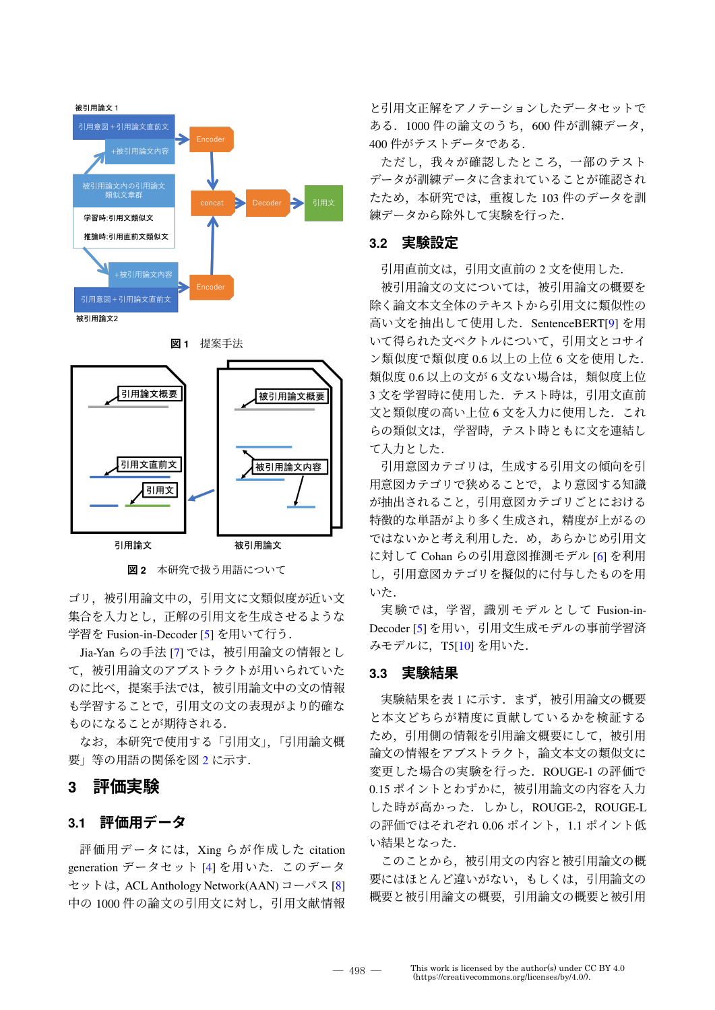

**図 2** 本研究で扱う用語について

ゴリ,被引用論文中の,引用文に文類似度が近い文 集合を入力とし、正解の引用文を生成させるような 学習を Fusion-in-Decoder [5] を用いて行う.

Jia-Yan らの手法 [7] では、被引用論文の情報とし て,被引用論文のアブストラクトが用いられていた のに比べ,提案手法では,被引用論文中の文の情報 も学習することで,引用文の文の表現がより的確な ものになることが期待される.

なお,本研究で使用する「引用文」,「引用論文概 要」等の用語の関係を図 2 に示す.

## **3 評価実験**

### **3.1 評価用データ**

評価用データには、Xing らが作成した citation generation データセット [4] を用いた.このデータ セットは, ACL Anthology Network(AAN) コーパス [8] 中の 1000 件の論文の引用文に対し,引用文献情報

と引用文正解をアノテーションしたデータセットで ある.1000 件の論文のうち,600 件が訓練データ, 400 件がテストデータである.

ただし、我々が確認したところ、一部のテスト データが訓練データに含まれていることが確認され たため,本研究では,重複した 103 件のデータを訓 練データから除外して実験を行った.

### **3.2 実験設定**

引用直前文は,引用文直前の 2 文を使用した.

被引用論文の文については,被引用論文の概要を 除く論文本文全体のテキストから引用文に類似性の 高い文を抽出して使用した.SentenceBERT[9] を用 いて得られた文ベクトルについて,引用文とコサイ ン類似度で類似度 0.6 以上の上位 6 文を使用した. 類似度 0.6 以上の文が 6 文ない場合は、類似度上位 3 文を学習時に使用した. テスト時は、引用文直前 文と類似度の高い上位 6 文を入力に使用した.これ らの類似文は,学習時,テスト時ともに文を連結し て入力とした.

引用意図カテゴリは,生成する引用文の傾向を引 用意図カテゴリで狭めることで,より意図する知識 が抽出されること,引用意図カテゴリごとにおける 特徴的な単語がより多く生成され,精度が上がるの ではないかと考え利用した.め,あらかじめ引用文 に対して Cohan らの引用意図推測モデル [6] を利用 し,引用意図カテゴリを擬似的に付与したものを用 いた.

実験では,学習,識別モデルとして Fusion-in-Decoder [5] を用い,引用文生成モデルの事前学習済 みモデルに, T5[10] を用いた.

#### **3.3 実験結果**

実験結果を表1に示す. まず、被引用論文の概要 と本文どちらが精度に貢献しているかを検証する ため,引用側の情報を引用論文概要にして,被引用 論文の情報をアブストラクト,論文本文の類似文に 変更した場合の実験を行った.ROUGE-1 の評価で 0.15 ポイントとわずかに,被引用論文の内容を入力 した時が高かった.しかし,ROUGE-2,ROUGE-L の評価ではそれぞれ 0.06 ポイント,1.1 ポイント低 い結果となった.

このことから,被引用文の内容と被引用論文の概 要にはほとんど違いがない,もしくは,引用論文の 概要と被引用論文の概要,引用論文の概要と被引用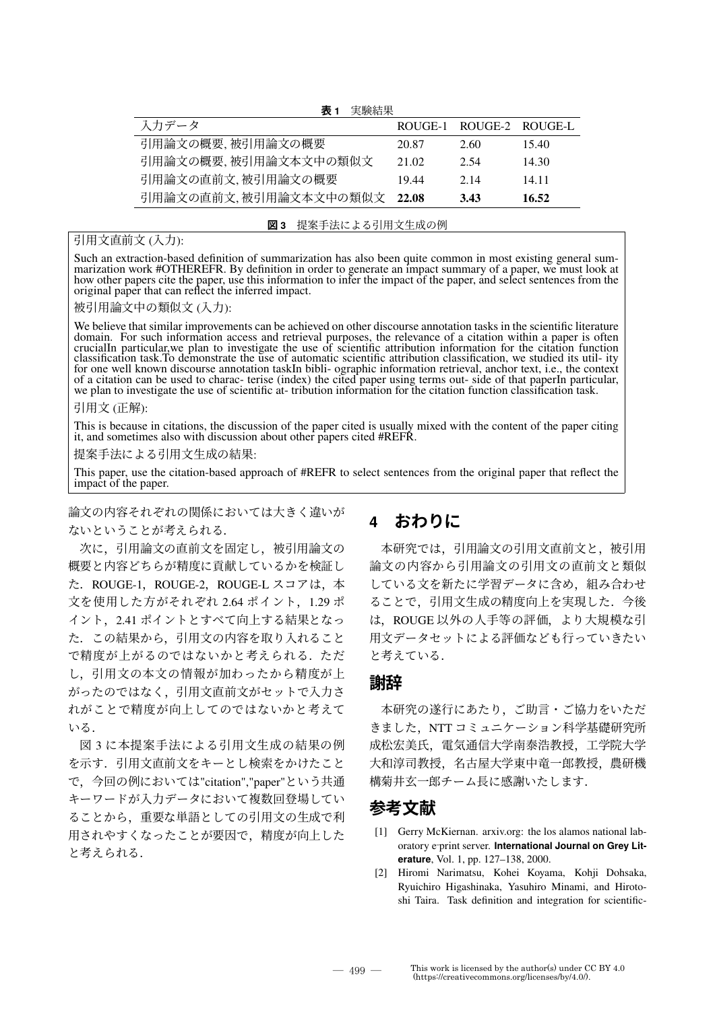**表 1** 実験結果

| 入力データ                 |       | ROUGE-1 ROUGE-2 ROUGE-L |       |
|-----------------------|-------|-------------------------|-------|
| 引用論文の概要, 被引用論文の概要     | 20.87 | 2.60                    | 15.40 |
| 引用論文の概要,被引用論文本文中の類似文  | 21.02 | 2.54                    | 14.30 |
| 引用論文の直前文. 被引用論文の概要    | 1944  | 2.14                    | 14 11 |
| 引用論文の直前文,被引用論文本文中の類似文 | 22.08 | 3.43                    | 16.52 |

#### **図 3** 提案手法による引用文生成の例

### 引用文直前文 (入力):

Such an extraction-based definition of summarization has also been quite common in most existing general summarization work #OTHEREFR. By definition in order to generate an impact summary of a paper, we must look at how other papers cite the paper, use this information to infer the impact of the paper, and select sentences from the original paper that can reflect the inferred impact.

被引用論文中の類似文 (入力):

We believe that similar improvements can be achieved on other discourse annotation tasks in the scientific literature domain. For such information access and retrieval purposes, the relevance of a citation within a paper is often crucialIn particular,we plan to investigate the use of scientific attribution information for the citation function classification task.To demonstrate the use of automatic scientific attribution classification, we studied its util- ity for one well known discourse annotation taskIn bibli- ographic information retrieval, anchor text, i.e., the context of a citation can be used to charac- terise (index) the cited paper using terms out- side of that paperIn particular, we plan to investigate the use of scientific at- tribution information for the citation function classification task.

#### 引用文 (正解):

This is because in citations, the discussion of the paper cited is usually mixed with the content of the paper citing it, and sometimes also with discussion about other papers cited #REFR.

提案手法による引用文生成の結果:

This paper, use the citation-based approach of #REFR to select sentences from the original paper that reflect the impact of the paper.

論文の内容それぞれの関係においては大きく違いが ないということが考えられる.

次に,引用論文の直前文を固定し,被引用論文の 概要と内容どちらが精度に貢献しているかを検証し た. ROUGE-1, ROUGE-2, ROUGE-L スコアは,本 文を使用した方がそれぞれ 2.64 ポイント,1.29 ポ イント,2.41 ポイントとすべて向上する結果となっ た.この結果から,引用文の内容を取り入れること で精度が上がるのではないかと考えられる。ただ し,引用文の本文の情報が加わったから精度が上 がったのではなく,引用文直前文がセットで入力さ れがことで精度が向上してのではないかと考えて いる.

図 3 に本提案手法による引用文生成の結果の例 を示す.引用文直前文をキーとし検索をかけたこと で,今回の例においては"citation","paper"という共通 キーワードが入力データにおいて複数回登場してい ることから,重要な単語としての引用文の生成で利 用されやすくなったことが要因で,精度が向上した と考えられる.

# **4 おわりに**

本研究では,引用論文の引用文直前文と,被引用 論文の内容から引用論文の引用文の直前文と類似 している文を新たに学習データに含め,組み合わせ ることで,引用文生成の精度向上を実現した.今後 は,ROUGE 以外の人手等の評価,より大規模な引 用文データセットによる評価なども行っていきたい と考えている.

### **謝辞**

本研究の遂行にあたり,ご助言・ご協力をいただ きました、NTT コミュニケーション科学基礎研究所 成松宏美氏,電気通信大学南泰浩教授,工学院大学 大和淳司教授,名古屋大学東中竜一郎教授,農研機 構菊井玄一郎チーム長に感謝いたします.

## **参考文献**

- [1] Gerry McKiernan. arxiv.org: the los alamos national laboratory e‐print server. **International Journal on Grey Literature**, Vol. 1, pp. 127–138, 2000.
- [2] Hiromi Narimatsu, Kohei Koyama, Kohji Dohsaka, Ryuichiro Higashinaka, Yasuhiro Minami, and Hirotoshi Taira. Task definition and integration for scientific-